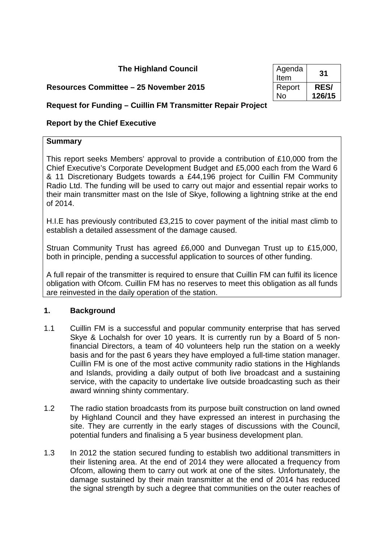## **The Highland Council**

### **Resources Committee – 25 November 2015**

| Agenda<br>Item | 31          |  |
|----------------|-------------|--|
| Report         | <b>RES/</b> |  |
| N٥             | 126/15      |  |

## **Request for Funding – Cuillin FM Transmitter Repair Project**

## **Report by the Chief Executive**

#### **Summary**

This report seeks Members' approval to provide a contribution of £10,000 from the Chief Executive's Corporate Development Budget and £5,000 each from the Ward 6 & 11 Discretionary Budgets towards a £44,196 project for Cuillin FM Community Radio Ltd. The funding will be used to carry out major and essential repair works to their main transmitter mast on the Isle of Skye, following a lightning strike at the end of 2014.

H.I.E has previously contributed £3,215 to cover payment of the initial mast climb to establish a detailed assessment of the damage caused.

Struan Community Trust has agreed £6,000 and Dunvegan Trust up to £15,000, both in principle, pending a successful application to sources of other funding.

A full repair of the transmitter is required to ensure that Cuillin FM can fulfil its licence obligation with Ofcom. Cuillin FM has no reserves to meet this obligation as all funds are reinvested in the daily operation of the station.

#### **1. Background**

- 1.1 Cuillin FM is a successful and popular community enterprise that has served Skye & Lochalsh for over 10 years. It is currently run by a Board of 5 nonfinancial Directors, a team of 40 volunteers help run the station on a weekly basis and for the past 6 years they have employed a full-time station manager. Cuillin FM is one of the most active community radio stations in the Highlands and Islands, providing a daily output of both live broadcast and a sustaining service, with the capacity to undertake live outside broadcasting such as their award winning shinty commentary.
- 1.2 The radio station broadcasts from its purpose built construction on land owned by Highland Council and they have expressed an interest in purchasing the site. They are currently in the early stages of discussions with the Council, potential funders and finalising a 5 year business development plan.
- 1.3 In 2012 the station secured funding to establish two additional transmitters in their listening area. At the end of 2014 they were allocated a frequency from Ofcom, allowing them to carry out work at one of the sites. Unfortunately, the damage sustained by their main transmitter at the end of 2014 has reduced the signal strength by such a degree that communities on the outer reaches of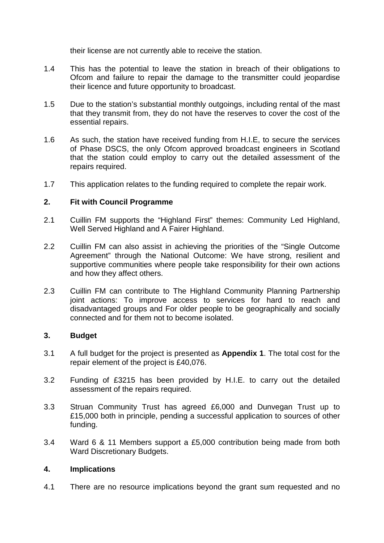their license are not currently able to receive the station.

- 1.4 This has the potential to leave the station in breach of their obligations to Ofcom and failure to repair the damage to the transmitter could jeopardise their licence and future opportunity to broadcast.
- 1.5 Due to the station's substantial monthly outgoings, including rental of the mast that they transmit from, they do not have the reserves to cover the cost of the essential repairs.
- 1.6 As such, the station have received funding from H.I.E, to secure the services of Phase DSCS, the only Ofcom approved broadcast engineers in Scotland that the station could employ to carry out the detailed assessment of the repairs required.
- 1.7 This application relates to the funding required to complete the repair work.

#### **2. Fit with Council Programme**

- 2.1 Cuillin FM supports the "Highland First" themes: Community Led Highland, Well Served Highland and A Fairer Highland.
- 2.2 Cuillin FM can also assist in achieving the priorities of the "Single Outcome Agreement" through the National Outcome: We have strong, resilient and supportive communities where people take responsibility for their own actions and how they affect others.
- 2.3 Cuillin FM can contribute to The Highland Community Planning Partnership joint actions: To improve access to services for hard to reach and disadvantaged groups and For older people to be geographically and socially connected and for them not to become isolated.

#### **3. Budget**

- 3.1 A full budget for the project is presented as **Appendix 1**. The total cost for the repair element of the project is £40,076.
- 3.2 Funding of £3215 has been provided by H.I.E. to carry out the detailed assessment of the repairs required.
- 3.3 Struan Community Trust has agreed £6,000 and Dunvegan Trust up to £15,000 both in principle, pending a successful application to sources of other funding.
- 3.4 Ward 6 & 11 Members support a £5,000 contribution being made from both Ward Discretionary Budgets.

#### **4. Implications**

4.1 There are no resource implications beyond the grant sum requested and no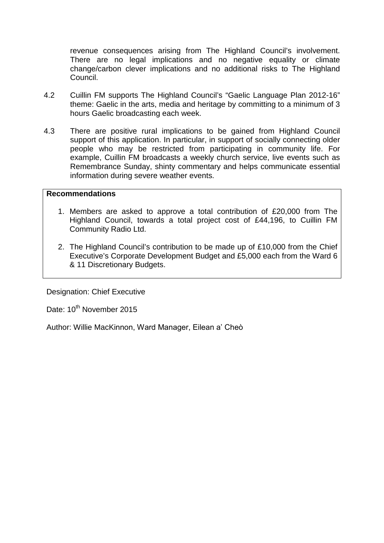revenue consequences arising from The Highland Council's involvement. There are no legal implications and no negative equality or climate change/carbon clever implications and no additional risks to The Highland Council.

- 4.2 Cuillin FM supports The Highland Council's "Gaelic Language Plan 2012-16" theme: Gaelic in the arts, media and heritage by committing to a minimum of 3 hours Gaelic broadcasting each week.
- 4.3 There are positive rural implications to be gained from Highland Council support of this application. In particular, in support of socially connecting older people who may be restricted from participating in community life. For example, Cuillin FM broadcasts a weekly church service, live events such as Remembrance Sunday, shinty commentary and helps communicate essential information during severe weather events.

#### **Recommendations**

- 1. Members are asked to approve a total contribution of £20,000 from The Highland Council, towards a total project cost of £44,196, to Cuillin FM Community Radio Ltd.
- 2. The Highland Council's contribution to be made up of £10,000 from the Chief Executive's Corporate Development Budget and £5,000 each from the Ward 6 & 11 Discretionary Budgets.

Designation: Chief Executive

Date: 10<sup>th</sup> November 2015

Author: Willie MacKinnon, Ward Manager, Eilean a' Cheὸ